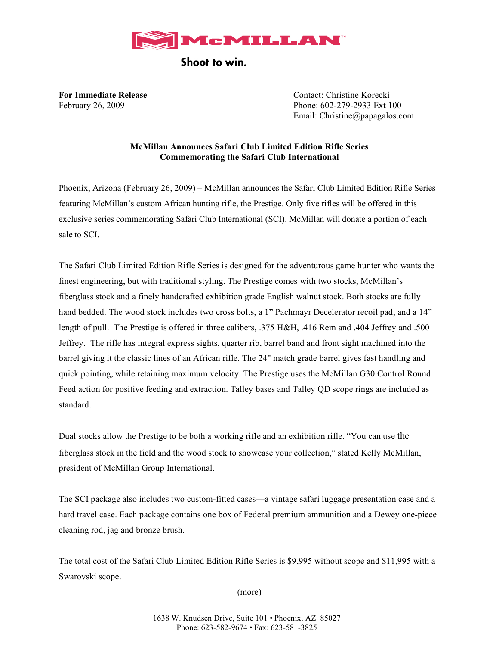

Shoot to win.

**For Immediate Release** The Contact: Christine Korecki February 26, 2009 Phone: 602-279-2933 Ext 100 Email: Christine@papagalos.com

# **McMillan Announces Safari Club Limited Edition Rifle Series Commemorating the Safari Club International**

Phoenix, Arizona (February 26, 2009) – McMillan announces the Safari Club Limited Edition Rifle Series featuring McMillan's custom African hunting rifle, the Prestige. Only five rifles will be offered in this exclusive series commemorating Safari Club International (SCI). McMillan will donate a portion of each sale to SCI.

The Safari Club Limited Edition Rifle Series is designed for the adventurous game hunter who wants the finest engineering, but with traditional styling. The Prestige comes with two stocks, McMillan's fiberglass stock and a finely handcrafted exhibition grade English walnut stock. Both stocks are fully hand bedded. The wood stock includes two cross bolts, a 1" Pachmayr Decelerator recoil pad, and a 14" length of pull. The Prestige is offered in three calibers, .375 H&H, .416 Rem and .404 Jeffrey and .500 Jeffrey. The rifle has integral express sights, quarter rib, barrel band and front sight machined into the barrel giving it the classic lines of an African rifle. The 24" match grade barrel gives fast handling and quick pointing, while retaining maximum velocity. The Prestige uses the McMillan G30 Control Round Feed action for positive feeding and extraction. Talley bases and Talley QD scope rings are included as standard.

Dual stocks allow the Prestige to be both a working rifle and an exhibition rifle. "You can use the fiberglass stock in the field and the wood stock to showcase your collection," stated Kelly McMillan, president of McMillan Group International.

The SCI package also includes two custom-fitted cases—a vintage safari luggage presentation case and a hard travel case. Each package contains one box of Federal premium ammunition and a Dewey one-piece cleaning rod, jag and bronze brush.

The total cost of the Safari Club Limited Edition Rifle Series is \$9,995 without scope and \$11,995 with a Swarovski scope.

(more)